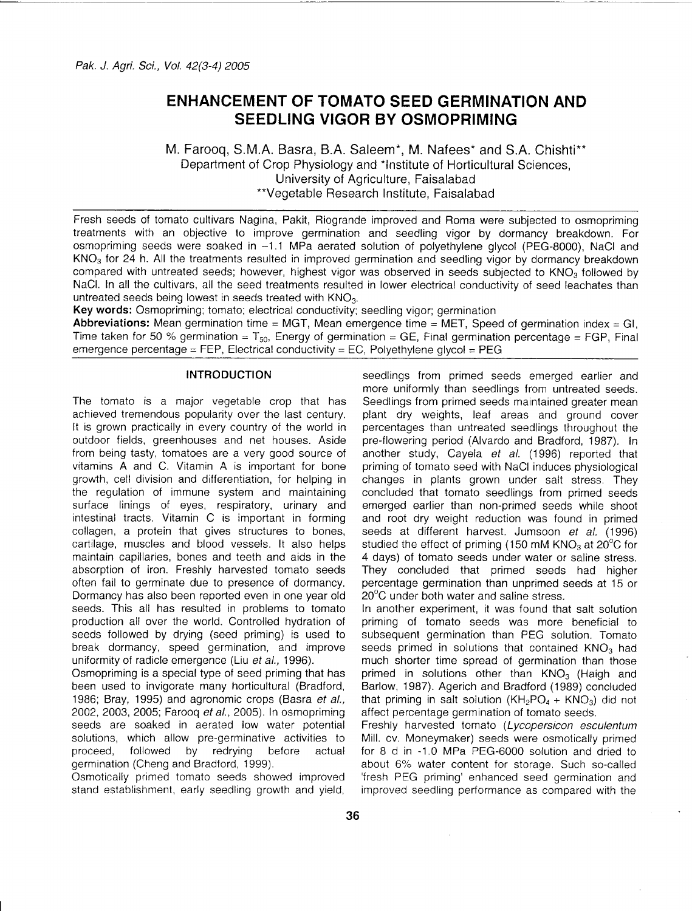# **ENHANCEMENT OF TOMATO SEED GERMINATION AND SEEDLING VIGOR BY OSMOPRIMING**

M. Farooq, S.M.A. Basra, B.A. Saleem\*, M. Nafees\* and S.A. Chishti\*\* Department of Crop Physiology and \*Institute of Horticultural Sciences, University of Agriculture, Faisalabad \*\*Vegetable Research Institute, Faisalabad

Fresh seeds of tomato cultivars Nagina, Pakit, Riogrande improved and Roma were subjected to osmopriming treatments with an objective to improve germination and seedling vigor by dormancy breakdown. For osmopriming seeds were soaked in -1.1 MPa aerated solution of polyethylene glycol (PEG-8000), NaCI and KN03 for 24 h. All the treatments resulted in improved germination and seedling vigor by dormancy breakdown compared with untreated seeds; however, highest vigor was observed in seeds subjected to  $\mathsf{KNO}_3$  followed by NaC!. In all the cultivars, all the seed treatments resulted in lower electrical conductivity of seed leachates than untreated seeds being lowest in seeds treated with  $\mathsf{KNO}_3$ 

Key **words:** Osmopriming; tomato; electrical conductivity; seedling vigor; germination

**Abbreviations:** Mean germination time = MGT, Mean emergence time = MET, Speed of germination index = GI, Time taken for 50 % germination =  $T_{50}$ . Energy of germination = GE, Final germination percentage = FGP, Final emergence percentage = FEP, Electrical conductivity = EC, Polyethylene glycol = PEG

# **INTRODUCTION**

The tomato is a major vegetable crop that has achieved tremendous popularity over the last century. It is grown practically in every country of the world in outdoor fields, greenhouses and net houses. Aside from being tasty, tomatoes are a very good source of vitamins A and C. Vitamin A is important for bone growth, cell division and differentiation, for helping in the regulation of immune system and maintaining surface linings of eyes, respiratory, urinary and intestinal tracts. Vitamin C is important in forming collagen, a protein that gives structures to bones, cartilage, muscles and blood vessels. It also helps maintain capillaries, bones and teeth and aids in the absorption of iron. Freshly harvested tomato seeds often fail to germinate due to presence of dormancy. Dormancy has also been reported even in one year old seeds. This all has resulted in problems to tomato production all over the world. Controlled hydration of seeds followed by drying (seed priming) is used to break dormancy, speed germination, and improve uniformity of radicle emergence (Liu *et et.,* 1996).

Osmopriming is a special type of seed priming that has been used to invigorate many horticultural (Bradford, 1986; Bray, 1995) and agronomic crops (Basra *et et.,* 2002,2003, 2005; Farooq *et et.,* 2005). In osmopriming seeds are soaked in aerated low water potential solutions, which allow pre-germinative activities to proceed, followed by redrying before actual germination (Cheng and Bradford, 1999).

Osmotically primed tomato seeds showed improved stand establishment, early seedling growth and yield,

seedlings from primed seeds emerged earlier and more uniformly than seedlings from untreated seeds. Seedlings from primed seeds maintained greater mean plant dry weights, leaf areas and ground cover percentages than untreated seedlings throughout the pre-flowering period (Alvardo and Bradford, 1987). In another study, Cayela *et al.* (1996) reported that priming of tomato seed with NaCI induces physiological changes in plants grown under salt stress. They concluded that tomato seedlings from primed seeds emerged earlier than non-primed seeds while shoot and root dry weight reduction was found in primed seeds at different harvest. Jumsoon *et al.* (1996) studied the effect of priming (150 mM  $KNO<sub>3</sub>$  at 20 $^{\circ}$ C for 4 days) of tomato seeds under water or saline stress. They concluded that primed seeds had higher percentage germination than unprimed seeds at 15 or 20°C under both water and saline stress.

In another experiment, it was found that salt solution priming of tomato seeds was more beneficial to subsequent germination than PEG solution. Tomato seeds primed in solutions that contained  $KNO<sub>3</sub>$  had much shorter time spread of germination than those primed in solutions other than  $KNO<sub>3</sub>$  (Haigh and Barlow, 1987). Agerich and Bradford (1989) concluded that priming in salt solution  $(KH_2PO_4 + KNO_3)$  did not affect percentage germination of tomato seeds.

Freshly harvested tomato *(Lycopersicon esculentum* Mill. cv. Moneymaker) seeds were osmotically primed for 8 d in -1.0 MPa PEG-6000 solution and dried to about 6% water content for storage. Such so-called 'fresh PEG priming' enhanced seed germination and improved seedling performance as compared with the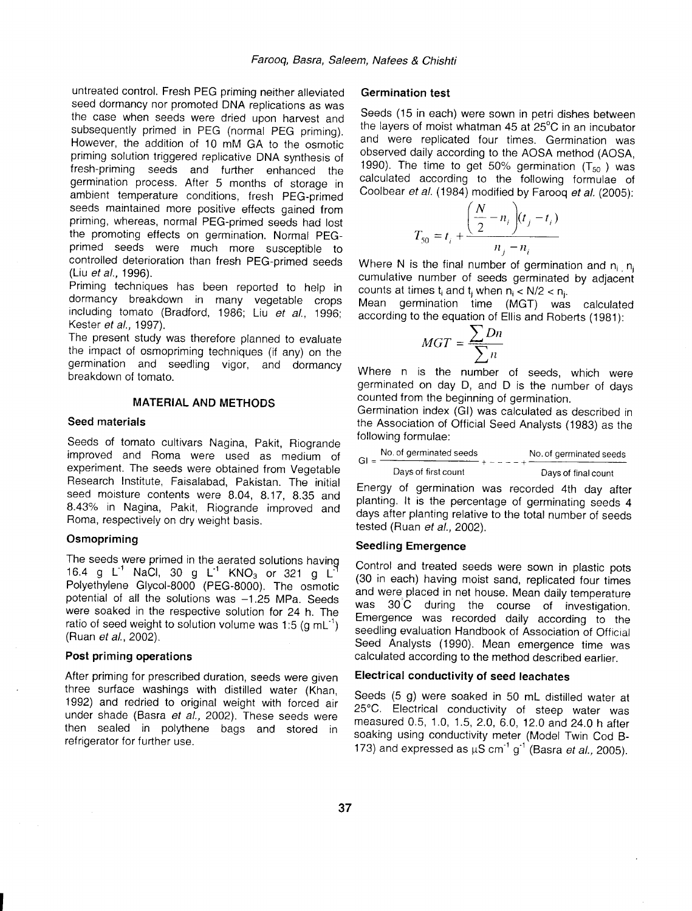untreated control. Fresh PEG priming neither alleviated seed dormancy nor promoted DNA replications as was the case when seeds were dried upon harvest and subsequently primed in PEG (normal PEG priming). However, the addition of 10 mM GA to the osmotic priming solution triggered replicative DNA synthesis of fresh-priming seeds and further enhanced the germination process. After 5 months of storage in ambient temperature conditions, fresh PEG-primed seeds maintained more positive effects gained from priming, whereas, normal PEG-primed seeds had lost the promoting effects on germination. Normal PEGprimed seeds were much more susceptible to controlled deterioration than fresh PEG-primed seeds (Liu *et al., 1996).*

Priming techniques has been reported to help in dormancy breakdown in many vegetable crops including tomato (Bradford, 1986; Liu *et al., 1996;* Kester *et et., 1997).*

The present study was therefore planned to evaluate the impact of osmopriming techniques (if any) on the germination and seedling vigor, and dormancy breakdown of tomato.

# **MATERIAL AND METHODS**

#### **Seed materials**

Seeds of tomato cultivars Nagina, Pakit, Riogrande improved and Roma were used as medium of experiment. The seeds were obtained from Vegetable Research Institute, Faisalabad, Pakistan. The initial seed moisture contents were 8.04, 8.17, 8.35 and 8.43% in Nagina, Pakit, Riogrande improved and Roma, respectively on dry weight basis.

#### **Osmopriming**

The seeds were primed in the aerated solutions having 16.4 g L<sup>-1</sup> NaCl, 30 g L<sup>-1</sup> KNO<sub>3</sub> or 321 g L<sup>2</sup> Polyethylene Glycol-8000 (PEG-8000). The osmotic potential of all the solutions was -1.25 MPa. Seeds were soaked in the respective solution for 24 h. The ratio of seed weight to solution volume was 1:5 (q mL<sup>-1</sup>) (Ruan *et al., 2002).*

#### **Post priming operations**

After priming for prescribed duration, seeds were given three surface washings with distilled water (Khan, 1992) and redried to original weight with forced air under shade (Basra *et al.,* 2002). These seeds were then sealed in polythene bags and stored in refrigerator for further use.

### **Germination test**

Seeds (15 in each) were sown in petri dishes between the layers of moist whatman 45 at 25°C in an incubator and were replicated four times. Germination was observed daily according to the AOSA method (AOSA, 1990). The time to get 50% germination  $(T_{50})$  was calculated according to the following formulae of Coolbear *et al.* (1984) modified by Farooq *et al. (2005):*

$$
T_{50} = t_i + \frac{\left(\frac{N}{2} - n_i\right)(t_j - t_i)}{n_j - n_i}
$$

Where N is the final number of germination and  $n_i$ ,  $n_j$ cumulative number of seeds germinated by adjacent counts at times  $t_i$  and  $t_i$  when  $n_i < N/2 < n_i$ .

Mean germination time (MGT) was calculated according to the equation of Ellis and Roberts (1981):

$$
MGT = \frac{\sum Dn}{\sum n}
$$

Where n is the number of seeds, which were germinated on day D, and D is the number of days counted from the beginning of germination.

Germination index (GI) was calculated as described in the Association of Official Seed Analysts (1983) as the following formulae:

|  | No. of germinated seeds                                                                                                                                                                                                                                                                                                  | No. of germinated seeds    |  |  |  |
|--|--------------------------------------------------------------------------------------------------------------------------------------------------------------------------------------------------------------------------------------------------------------------------------------------------------------------------|----------------------------|--|--|--|
|  | $GI =$ $\frac{1}{2}$ $\frac{1}{2}$ $\frac{1}{2}$ $\frac{1}{2}$ $\frac{1}{2}$ $\frac{1}{2}$ $\frac{1}{2}$ $\frac{1}{2}$ $\frac{1}{2}$ $\frac{1}{2}$ $\frac{1}{2}$ $\frac{1}{2}$ $\frac{1}{2}$ $\frac{1}{2}$ $\frac{1}{2}$ $\frac{1}{2}$ $\frac{1}{2}$ $\frac{1}{2}$ $\frac{1}{2}$ $\frac{1}{2}$ $\frac{1}{2}$ $\frac{1}{$ | +-----+ <del>-------</del> |  |  |  |
|  | Days of first count                                                                                                                                                                                                                                                                                                      | Days of final count        |  |  |  |

Energy of germination was recorded 4th day after planting. It is the percentage of germinating seeds 4 days after planting relative to the total number of seeds tested (Ruan *et et. 2002).*

#### **Seedling Emergence**

Control and treated seeds were sown in plastic pots (30 in each) having moist sand, replicated four times and were placed in net house, Mean daily temperature was 30'C during the course of investigation, Emergence was recorded daily according to the seedling evaluation Handbook of Association of Official Seed Analysts (1990). Mean emergence time was calculated according to the method described earlier.

#### **Electrical conductivity of seed leachates**

Seeds (5 g) were soaked in 50 mL distilled water at 25°C. Electrical conductivity of steep water was measured 0.5, 1.0, 1.5, 2.0, 6.0, 12.0 and 24.0 h after soaking using conductivity meter (Model Twin Cod B-173) and expressed as  $\mu$ S cm<sup>-1</sup> g<sup>-1</sup> (Basra *et al.,* 2005).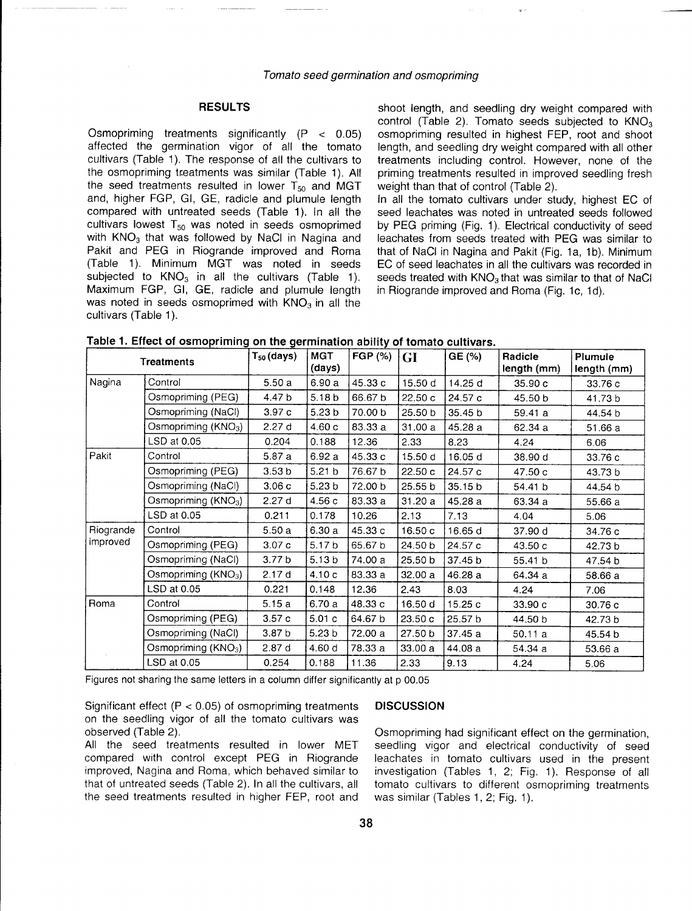# RESULTS

Osmopriming treatments significantly (P < 0.05) affected the germination vigor of all the tomato cultivars (Table 1). The response of all the cultivars to the osmopriming treatments was similar (Table 1). All the seed treatments resulted in lower  $T_{50}$  and MGT and, higher FGP, GI, GE, radicle and plumule length compared with untreated seeds (Table 1). In all the cultivars lowest  $T_{50}$  was noted in seeds osmoprimed with KNO<sub>3</sub> that was followed by NaCl in Nagina and Pakit and PEG in Riogrande improved and Roma (Table 1). Minimum MGT was noted in seeds subjected to  $KNO<sub>3</sub>$  in all the cultivars (Table 1). Maximum FGP, GI, GE, radicle and plumule length was noted in seeds osmoprimed with  $KNO<sub>3</sub>$  in all the cultivars (Table 1).

shoot length, and seedling dry weight compared with control (Table 2). Tomato seeds subjected to  $KNO<sub>3</sub>$ osmopriming resulted in highest FEP, root and shoot length, and seedling dry weight compared with all other treatments including control. However, none of the priming treatments resulted in improved seedling fresh weight than that of control (Table 2).

In all the tomato cultivars under study, highest EG of seed leachates was noted in untreated seeds followed by PEG priming (Fig. 1). Electrical conductivity of seed leachates from seeds treated with PEG was similar to that of NaGI in Nagina and Pakit (Fig. 1a, 1b). Minimum EG of seed leachates in all the cultivars was recorded in seeds treated with KNO<sub>3</sub> that was similar to that of NaCl in Riogrande improved and Roma (Fig. 1c, 1d).

| Table 1. Effect of osmopriming on the germination ability of tomato cultivars. |  |  |
|--------------------------------------------------------------------------------|--|--|
|--------------------------------------------------------------------------------|--|--|

|           | <b>Treatments</b>               | $T_{50}$ (days)   | <b>MGT</b><br>(days) | FGP (%) | <b>GI</b> | GE (%)  | Radicle<br>length (mm) | Plumule<br>length (mm) |
|-----------|---------------------------------|-------------------|----------------------|---------|-----------|---------|------------------------|------------------------|
| Nagina    | Control                         | 5.50a             | 6.90 a               | 45.33 c | 15.50 d   | 14.25 d | 35.90c                 | 33.76 c                |
|           | Osmopriming (PEG)               | 4.47 b            | 5.18 b               | 66.67 b | 22.50c    | 24.57 c | 45.50 b                | 41.73 b                |
|           | Osmopriming (NaCl)              | 3.97 c            | 5.23 <sub>b</sub>    | 70.00 b | 25.50 b   | 35.45 b | 59.41a                 | 44.54 b                |
|           | Osmopriming (KNO <sub>3</sub> ) | 2.27d             | 4.60c                | 83.33 a | 31.00a    | 45.28 a | 62.34 a                | 51.66a                 |
|           | LSD at 0.05                     | 0.204             | 0.188                | 12.36   | 2.33      | 8.23    | 4.24                   | 6.06                   |
| Pakit     | Control                         | 5.87 a            | 6.92 a               | 45.33 c | 15.50 d   | 16.05 d | 38.90 d                | 33.76 c                |
|           | Osmopriming (PEG)               | 3.53 <sub>b</sub> | 5.21 <sub>b</sub>    | 76.67 b | 22.50 c   | 24.57 c | 47.50 c                | 43.73 b                |
|           | Osmopriming (NaCl)              | 3.06c             | 5.23 <sub>b</sub>    | 72.00 b | 25.55 b   | 35.15 b | 54.41 b                | 44.54 b                |
|           | Osmopriming (KNO <sub>3</sub> ) | 2.27d             | 4.56 c               | 83.33 a | 31.20 a   | 45.28 a | 63.34 a                | 55.66 a                |
|           | LSD at 0.05                     | 0.211             | 0.178                | 10.26   | 2.13      | 7.13    | 4.04                   | 5.06                   |
| Riogrande | Control                         | 5.50a             | 6.30a                | 45.33 c | 16.50c    | 16.65 d | 37.90 d                | 34.76 c                |
| improved  | Osmopriming (PEG)               | 3.07c             | 5.17 <sub>b</sub>    | 65.67 b | 24.50 b   | 24.57 c | 43.50c                 | 42.73 b                |
|           | Osmopriming (NaCl)              | 3.77 <sub>b</sub> | 5.13 <sub>b</sub>    | 74.00 a | 25.50 b   | 37.45 b | 55.41 b                | 47.54 b                |
|           | Osmopriming $(KNO3)$            | 2.17d             | 4.10 c               | 83.33 a | 32.00a    | 46.28 a | 64.34 a                | 58.66 a                |
|           | LSD at 0.05                     | 0.221             | 0.148                | 12.36   | 2.43      | 8.03    | 4.24                   | 7.06                   |
| Roma      | Control                         | 5.15a             | 6.70 a               | 48.33 c | 16.50 d   | 15.25c  | 33.90c                 | 30.76 c                |
|           | Osmopriming (PEG)               | 3.57c             | 5.01c                | 64.67 b | 23.50c    | 25.57 b | 44.50 b                | 42.73 b                |
|           | Osmopriming (NaCl)              | 3.87 <sub>b</sub> | 5.23 <sub>b</sub>    | 72.00 a | 27.50 b   | 37.45 a | 50.11 a                | 45.54 b                |
|           | Osmopriming $(KNO3)$            | 2.87d             | 4.60 d               | 78.33 a | 33.00 a   | 44.08 a | 54.34 a                | 53.66 a                |
|           | LSD at 0.05                     | 0.254             | 0.188                | 11.36   | 2.33      | 9.13    | 4.24                   | 5.06                   |

Figures not sharing the same letters in a column differ significantly at p 00.05

Significant effect  $(P < 0.05)$  of osmopriming treatments on the seedling vigor of all the tomato cultivars was observed (Table 2).

All the seed treatments resulted in lower MET compared with control except PEG in Riogrande improved, Nagina and Roma, which behaved similar to that of untreated seeds (Table 2). In all the cultivars, all the seed treatments resulted in higher FEP, root and

#### **DISCUSSION**

Osmopriming had significant effect on the germination, seedling vigor and electrical conductivity of seed leachates in tomato cultivars used in the present investigation (Tables 1, 2; Fig. 1). Response of all tomato cultivars to different osmopriming treatments was similar (Tables 1, 2; Fig. 1).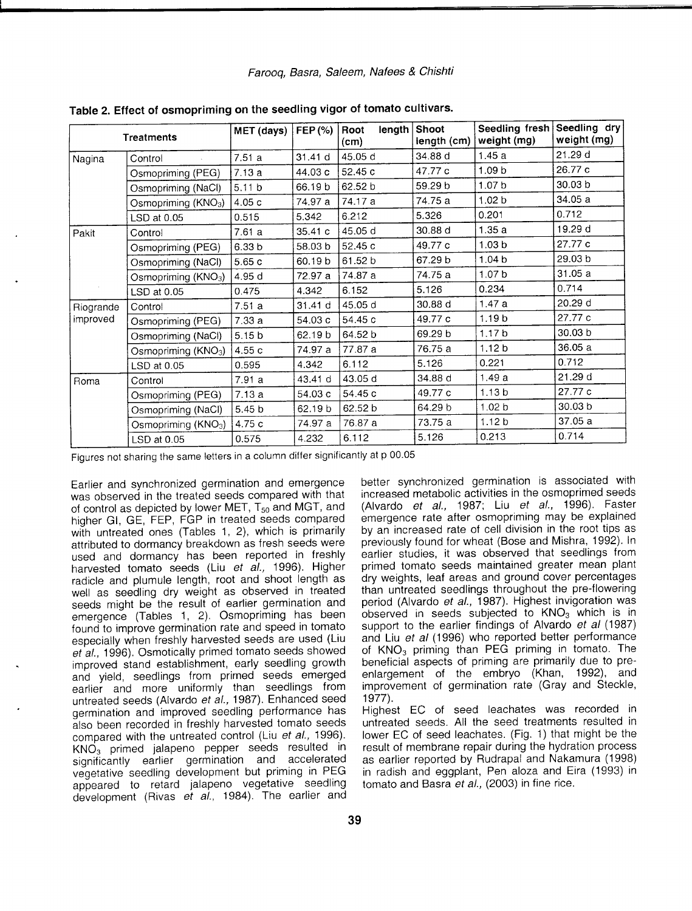*Farooq, Basra, Saleem, Nafees* & *Chishti*

|           | <b>Treatments</b>               | MET (days)        | FEP (%) | length<br>Root<br>(cm) | Shoot<br>length (cm) | Seedling fresh<br>weight (mg) | Seedling dry<br>weight (mg) |
|-----------|---------------------------------|-------------------|---------|------------------------|----------------------|-------------------------------|-----------------------------|
| Nagina    | Control                         | 7.51a             | 31.41 d | 45.05 d                | 34.88 d              | 1.45a                         | 21.29 d                     |
|           | Osmopriming (PEG)               | 7.13a             | 44.03 c | 52.45 c                | 47.77 c              | 1.09 <sub>b</sub>             | 26.77 c                     |
|           | Osmopriming (NaCl)              | 5.11 <sub>b</sub> | 66.19b  | 62.52 b                | 59.29 b              | 1.07 <sub>b</sub>             | 30.03 <sub>b</sub>          |
|           | Osmopriming $(KNO3)$            | 4.05 c            | 74.97 a | 74.17 a                | 74.75 a              | 1.02 <sub>b</sub>             | 34.05 a                     |
|           | LSD at 0.05                     | 0.515             | 5.342   | 6.212                  | 5.326                | 0.201                         | 0.712                       |
| Pakit     | Control                         | 7.61a             | 35.41c  | 45.05 d                | 30.88 d              | 1.35a                         | 19.29 d                     |
|           | Osmopriming (PEG)               | 6.33 <sub>b</sub> | 58.03 b | 52.45 c                | 49.77 c              | 1.03 <sub>b</sub>             | 27.77 c                     |
|           | Osmopriming (NaCl)              | 5.65 c            | 60.19b  | 61.52 b                | 67.29 b              | 1.04 <sub>b</sub>             | 29.03 b                     |
|           | Osmopriming (KNO <sub>3</sub> ) | 4.95 d            | 72.97 a | 74.87 a                | 74.75 a              | 1.07 <sub>b</sub>             | 31.05a                      |
|           | LSD at 0.05                     | 0.475             | 4.342   | 6.152                  | 5.126                | 0.234                         | 0.714                       |
| Riogrande | Control                         | 7.51a             | 31.41 d | 45.05 d                | 30.88 d              | 1.47a                         | 20.29 d                     |
| improved  | Osmopriming (PEG)               | 7.33a             | 54.03 c | 54.45 c                | 49.77 c              | 1.19 <sub>b</sub>             | 27.77 c                     |
|           | Osmopriming (NaCl)              | 5.15 <sub>b</sub> | 62.19 b | 64.52 b                | 69.29 b              | 1.17 <sub>b</sub>             | 30.03 b                     |
|           | Osmopriming (KNO <sub>3</sub> ) | 4.55 c            | 74.97 a | 77.87 a                | 76.75 a              | 1.12 <sub>b</sub>             | 36.05a                      |
|           | LSD at 0.05                     | 0.595             | 4.342   | 6.112                  | 5.126                | 0.221                         | 0.712                       |
| Roma      | Control                         | 7.91 a            | 43.41 d | 43.05 d                | 34.88 d              | 1.49a                         | 21.29 d                     |
|           | Osmopriming (PEG)               | 7.13a             | 54.03 c | 54.45 c                | 49.77 c              | 1.13 <sub>b</sub>             | 27.77 c                     |
|           | Osmopriming (NaCl)              | 5.45 <sub>b</sub> | 62.19 b | 62.52 b                | 64.29 b              | 1.02 <sub>b</sub>             | 30.03 b                     |
|           | Osmopriming (KNO <sub>3</sub> ) | 4.75 c            | 74.97 a | 76.87 a                | 73.75 a              | 1.12 <sub>b</sub>             | 37.05 a                     |
|           | LSD at 0.05                     | 0.575             | 4.232   | 6.112                  | 5.126                | 0.213                         | 0.714                       |

**Table 2. Effect of osmopriming on the seedling vigor of tomato cultivars.**

Figures not sharing the same letters in a column differ significantly at p 00.05

Earlier and synchronized germination and emergence was observed in the treated seeds compared with that of control as depicted by lower MET, T<sub>50</sub> and MGT, and higher GI, GE, FEP, FGP in treated seeds compared with untreated ones (Tables 1, 2), which is primarily attributed to dormancy breakdown as fresh seeds were used and dormancy has been reported in freshly harvested tomato seeds (Liu *et al.,* 1996). Higher radicle and plumule length, root and shoot length as well as seedling dry weight as observed in treated seeds might be the result of earlier germination and emergence (Tables 1, 2). Osmopriming has been found to improve germination rate and speed in tomato especially when freshly harvested seeds are used (Liu *et al.,* 1996). Osmotically primed tomato seeds showed improved stand establishment, early seedling growth and yield, seedlings from primed seeds emerged earlier and more uniformly than seedlings from untreated seeds (Alvardo *et al.,* 1987). Enhanced seed germination and improved seedling performance has also been recorded in freshly harvested tomato seeds compared with the untreated control (Liu *et al., 1996).* KN0<sup>3</sup> primed jalapeno pepper seeds resulted in significantly earlier germination and accelerated vegetative seedling development but priming in PEG appeared to retard jalapeno vegetative seedling development (Rivas *et al.,* 1984). The earlier and better synchronized germination is associated with increased metabolic activities in the osmoprimed seeds (Alvardo *et al.,* 1987; Liu *et al.,* 1996). Faster emergence rate after osmopriming may be explained by an increased rate of cell division in the root tips as previously found for wheat (Bose and Mishra, 1992). In earlier studies, it was observed that seedlings from primed tomato seeds maintained greater mean plant dry weights, leaf areas and ground cover percentages than untreated seedlings throughout the pre-flowering period (Alvardo *et al.,* 1987). Highest invigoration was observed in seeds subjected to  $KNO<sub>3</sub>$  which is in support to the earlier findings of Alvardo *et al (1987)* and Liu *et al* (1996) who reported better performance of  $KNO<sub>3</sub>$  priming than PEG priming in tomato. The beneficial aspects of priming are primarily due to preenlargement of the embryo (Khan, 1992), and improvement of germination rate (Gray and Steckle, 1977).

Highest EC of seed leachates was recorded in untreated seeds. All the seed treatments resulted in lower EC of seed leachates. (Fig. 1) that might be the result of membrane repair during the hydration process as earlier reported by Rudrapal and Nakamura (1998) in radish and eggplant, Pen aloza and Eira (1993) in tomato and Basra *et al.,* (2003) in fine rice.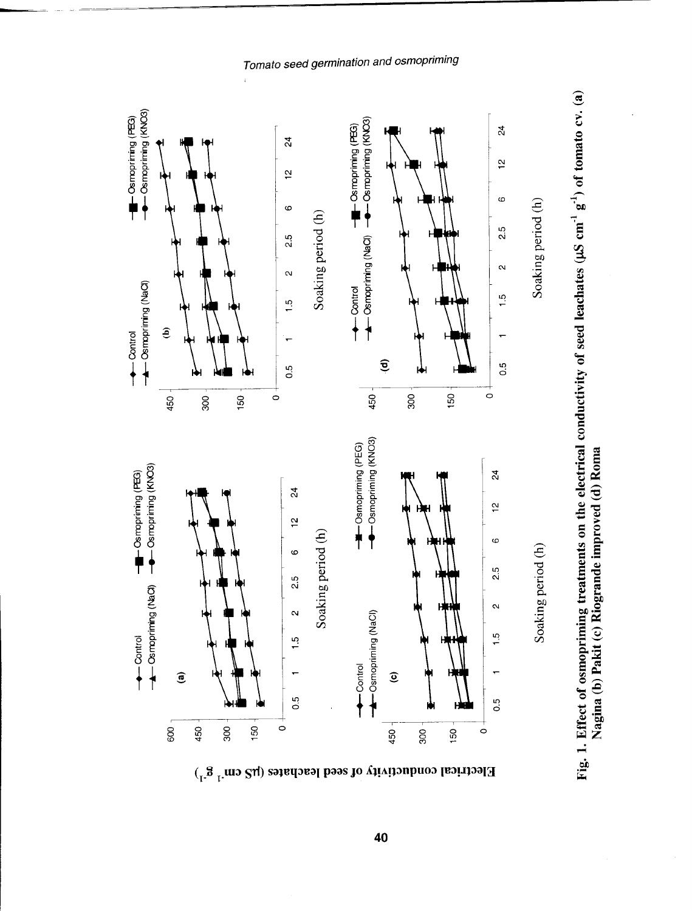

Tomato seed germination and osmopriming



# 40

Electrical conductivity of seed leachates ( $\mu$ S cm<sup>-1</sup> g<sup>-1</sup>)